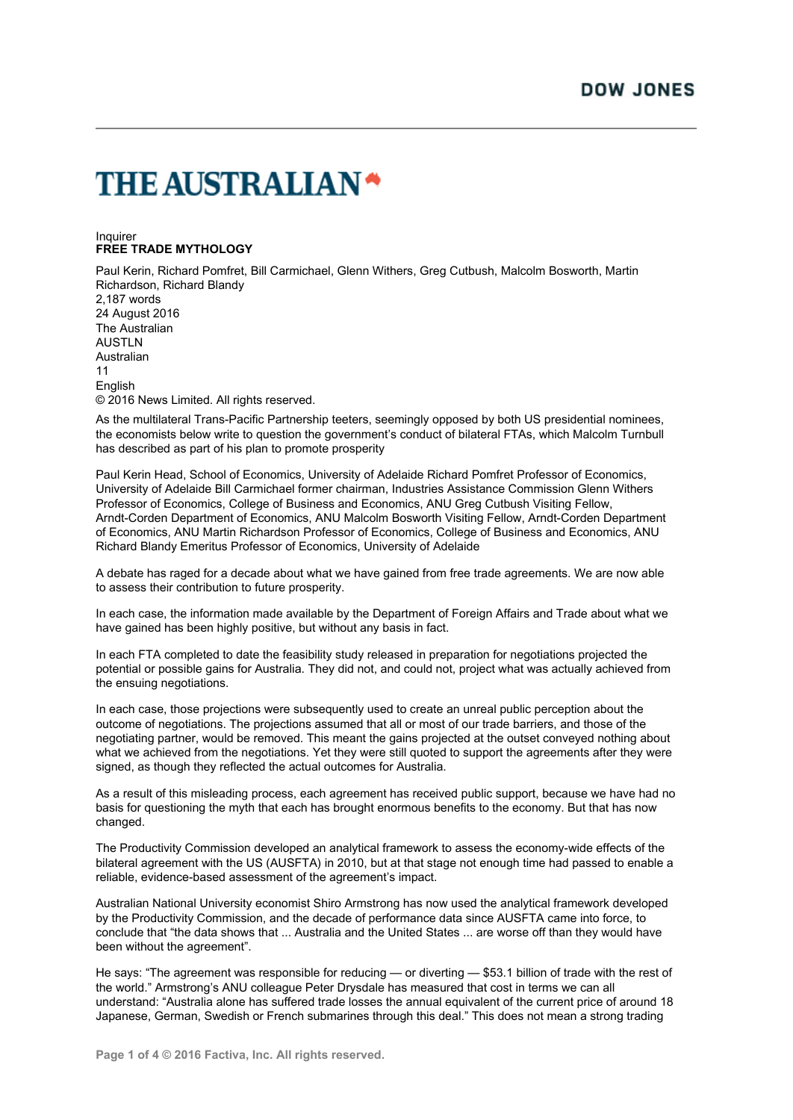## **THE AUSTRALIAN\***

## Inquirer **FREE TRADE MYTHOLOGY**

Paul Kerin, Richard Pomfret, Bill Carmichael, Glenn Withers, Greg Cutbush, Malcolm Bosworth, Martin Richardson, Richard Blandy

2,187 words 24 August 2016 The Australian AUSTLN Australian 11 **English** © 2016 News Limited. All rights reserved.

As the multilateral Trans-Pacific Partnership teeters, seemingly opposed by both US presidential nominees, the economists below write to question the government's conduct of bilateral FTAs, which Malcolm Turnbull has described as part of his plan to promote prosperity

Paul Kerin Head, School of Economics, University of Adelaide Richard Pomfret Professor of Economics, University of Adelaide Bill Carmichael former chairman, Industries Assistance Commission Glenn Withers Professor of Economics, College of Business and Economics, ANU Greg Cutbush Visiting Fellow, Arndt-Corden Department of Economics, ANU Malcolm Bosworth Visiting Fellow, Arndt-Corden Department of Economics, ANU Martin Richardson Professor of Economics, College of Business and Economics, ANU Richard Blandy Emeritus Professor of Economics, University of Adelaide

A debate has raged for a decade about what we have gained from free trade agreements. We are now able to assess their contribution to future prosperity.

In each case, the information made available by the Department of Foreign Affairs and Trade about what we have gained has been highly positive, but without any basis in fact.

In each FTA completed to date the feasibility study released in preparation for negotiations projected the potential or possible gains for Australia. They did not, and could not, project what was actually achieved from the ensuing negotiations.

In each case, those projections were subsequently used to create an unreal public perception about the outcome of negotiations. The projections assumed that all or most of our trade barriers, and those of the negotiating partner, would be removed. This meant the gains projected at the outset conveyed nothing about what we achieved from the negotiations. Yet they were still quoted to support the agreements after they were signed, as though they reflected the actual outcomes for Australia.

As a result of this misleading process, each agreement has received public support, because we have had no basis for questioning the myth that each has brought enormous benefits to the economy. But that has now changed.

The Productivity Commission developed an analytical framework to assess the economy-wide effects of the bilateral agreement with the US (AUSFTA) in 2010, but at that stage not enough time had passed to enable a reliable, evidence-based assessment of the agreement's impact.

Australian National University economist Shiro Armstrong has now used the analytical framework developed by the Productivity Commission, and the decade of performance data since AUSFTA came into force, to conclude that "the data shows that ... Australia and the United States ... are worse off than they would have been without the agreement".

He says: "The agreement was responsible for reducing — or diverting — \$53.1 billion of trade with the rest of the world." Armstrong's ANU colleague Peter Drysdale has measured that cost in terms we can all understand: "Australia alone has suffered trade losses the annual equivalent of the current price of around 18 Japanese, German, Swedish or French submarines through this deal." This does not mean a strong trading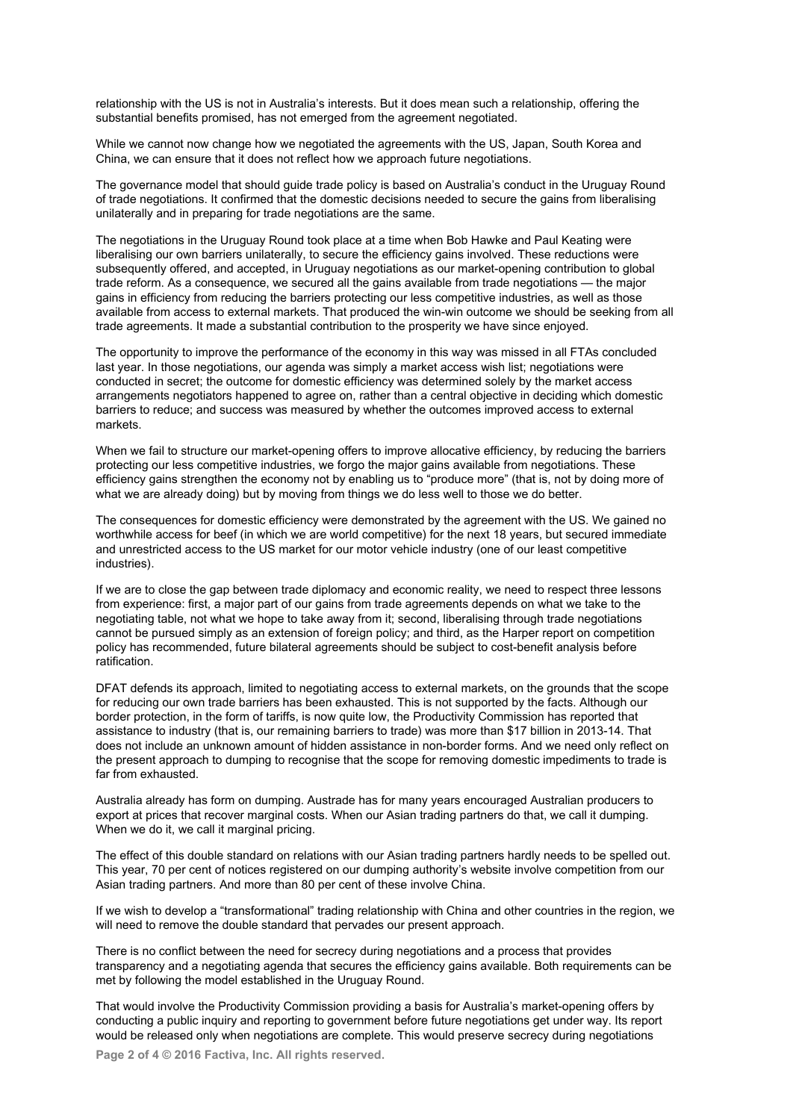relationship with the US is not in Australia's interests. But it does mean such a relationship, offering the substantial benefits promised, has not emerged from the agreement negotiated.

While we cannot now change how we negotiated the agreements with the US, Japan, South Korea and China, we can ensure that it does not reflect how we approach future negotiations.

The governance model that should guide trade policy is based on Australia's conduct in the Uruguay Round of trade negotiations. It confirmed that the domestic decisions needed to secure the gains from liberalising unilaterally and in preparing for trade negotiations are the same.

The negotiations in the Uruguay Round took place at a time when Bob Hawke and Paul Keating were liberalising our own barriers unilaterally, to secure the efficiency gains involved. These reductions were subsequently offered, and accepted, in Uruguay negotiations as our market-opening contribution to global trade reform. As a consequence, we secured all the gains available from trade negotiations — the major gains in efficiency from reducing the barriers protecting our less competitive industries, as well as those available from access to external markets. That produced the win-win outcome we should be seeking from all trade agreements. It made a substantial contribution to the prosperity we have since enjoyed.

The opportunity to improve the performance of the economy in this way was missed in all FTAs concluded last year. In those negotiations, our agenda was simply a market access wish list; negotiations were conducted in secret; the outcome for domestic efficiency was determined solely by the market access arrangements negotiators happened to agree on, rather than a central objective in deciding which domestic barriers to reduce; and success was measured by whether the outcomes improved access to external markets.

When we fail to structure our market-opening offers to improve allocative efficiency, by reducing the barriers protecting our less competitive industries, we forgo the major gains available from negotiations. These efficiency gains strengthen the economy not by enabling us to "produce more" (that is, not by doing more of what we are already doing) but by moving from things we do less well to those we do better.

The consequences for domestic efficiency were demonstrated by the agreement with the US. We gained no worthwhile access for beef (in which we are world competitive) for the next 18 years, but secured immediate and unrestricted access to the US market for our motor vehicle industry (one of our least competitive industries).

If we are to close the gap between trade diplomacy and economic reality, we need to respect three lessons from experience: first, a major part of our gains from trade agreements depends on what we take to the negotiating table, not what we hope to take away from it; second, liberalising through trade negotiations cannot be pursued simply as an extension of foreign policy; and third, as the Harper report on competition policy has recommended, future bilateral agreements should be subject to cost-benefit analysis before ratification.

DFAT defends its approach, limited to negotiating access to external markets, on the grounds that the scope for reducing our own trade barriers has been exhausted. This is not supported by the facts. Although our border protection, in the form of tariffs, is now quite low, the Productivity Commission has reported that assistance to industry (that is, our remaining barriers to trade) was more than \$17 billion in 2013-14. That does not include an unknown amount of hidden assistance in non-border forms. And we need only reflect on the present approach to dumping to recognise that the scope for removing domestic impediments to trade is far from exhausted.

Australia already has form on dumping. Austrade has for many years encouraged Australian producers to export at prices that recover marginal costs. When our Asian trading partners do that, we call it dumping. When we do it, we call it marginal pricing.

The effect of this double standard on relations with our Asian trading partners hardly needs to be spelled out. This year, 70 per cent of notices registered on our dumping authority's website involve competition from our Asian trading partners. And more than 80 per cent of these involve China.

If we wish to develop a "transformational" trading relationship with China and other countries in the region, we will need to remove the double standard that pervades our present approach.

There is no conflict between the need for secrecy during negotiations and a process that provides transparency and a negotiating agenda that secures the efficiency gains available. Both requirements can be met by following the model established in the Uruguay Round.

That would involve the Productivity Commission providing a basis for Australia's market-opening offers by conducting a public inquiry and reporting to government before future negotiations get under way. Its report would be released only when negotiations are complete. This would preserve secrecy during negotiations

**Page 2 of 4 © 2016 Factiva, Inc. All rights reserved.**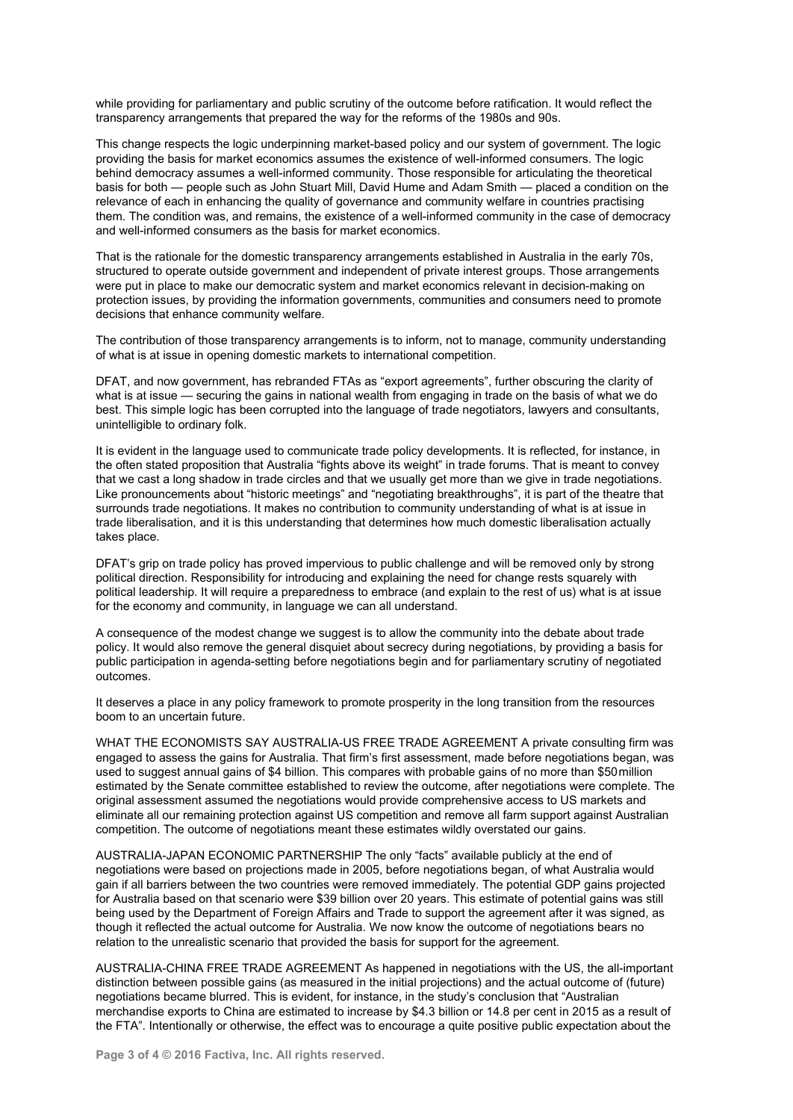while providing for parliamentary and public scrutiny of the outcome before ratification. It would reflect the transparency arrangements that prepared the way for the reforms of the 1980s and 90s.

This change respects the logic underpinning market-based policy and our system of government. The logic providing the basis for market economics assumes the existence of well-informed consumers. The logic behind democracy assumes a well-informed community. Those responsible for articulating the theoretical basis for both — people such as John Stuart Mill, David Hume and Adam Smith — placed a condition on the relevance of each in enhancing the quality of governance and community welfare in countries practising them. The condition was, and remains, the existence of a well-informed community in the case of democracy and well-informed consumers as the basis for market economics.

That is the rationale for the domestic transparency arrangements established in Australia in the early 70s, structured to operate outside government and independent of private interest groups. Those arrangements were put in place to make our democratic system and market economics relevant in decision-making on protection issues, by providing the information governments, communities and consumers need to promote decisions that enhance community welfare.

The contribution of those transparency arrangements is to inform, not to manage, community understanding of what is at issue in opening domestic markets to international competition.

DFAT, and now government, has rebranded FTAs as "export agreements", further obscuring the clarity of what is at issue — securing the gains in national wealth from engaging in trade on the basis of what we do best. This simple logic has been corrupted into the language of trade negotiators, lawyers and consultants, unintelligible to ordinary folk.

It is evident in the language used to communicate trade policy developments. It is reflected, for instance, in the often stated proposition that Australia "fights above its weight" in trade forums. That is meant to convey that we cast a long shadow in trade circles and that we usually get more than we give in trade negotiations. Like pronouncements about "historic meetings" and "negotiating breakthroughs", it is part of the theatre that surrounds trade negotiations. It makes no contribution to community understanding of what is at issue in trade liberalisation, and it is this understanding that determines how much domestic liberalisation actually takes place.

DFAT's grip on trade policy has proved impervious to public challenge and will be removed only by strong political direction. Responsibility for introducing and explaining the need for change rests squarely with political leadership. It will require a preparedness to embrace (and explain to the rest of us) what is at issue for the economy and community, in language we can all understand.

A consequence of the modest change we suggest is to allow the community into the debate about trade policy. It would also remove the general disquiet about secrecy during negotiations, by providing a basis for public participation in agenda-setting before negotiations begin and for parliamentary scrutiny of negotiated outcomes.

It deserves a place in any policy framework to promote prosperity in the long transition from the resources boom to an uncertain future.

WHAT THE ECONOMISTS SAY AUSTRALIA-US FREE TRADE AGREEMENT A private consulting firm was engaged to assess the gains for Australia. That firm's first assessment, made before negotiations began, was used to suggest annual gains of \$4 billion. This compares with probable gains of no more than \$50 million estimated by the Senate committee established to review the outcome, after negotiations were complete. The original assessment assumed the negotiations would provide comprehensive access to US markets and eliminate all our remaining protection against US competition and remove all farm support against Australian competition. The outcome of negotiations meant these estimates wildly overstated our gains.

AUSTRALIA-JAPAN ECONOMIC PARTNERSHIP The only "facts" available publicly at the end of negotiations were based on projections made in 2005, before negotiations began, of what Australia would gain if all barriers between the two countries were removed immediately. The potential GDP gains projected for Australia based on that scenario were \$39 billion over 20 years. This estimate of potential gains was still being used by the Department of Foreign Affairs and Trade to support the agreement after it was signed, as though it reflected the actual outcome for Australia. We now know the outcome of negotiations bears no relation to the unrealistic scenario that provided the basis for support for the agreement.

AUSTRALIA-CHINA FREE TRADE AGREEMENT As happened in negotiations with the US, the all-important distinction between possible gains (as measured in the initial projections) and the actual outcome of (future) negotiations became blurred. This is evident, for instance, in the study's conclusion that "Australian merchandise exports to China are estimated to increase by \$4.3 billion or 14.8 per cent in 2015 as a result of the FTA". Intentionally or otherwise, the effect was to encourage a quite positive public expectation about the